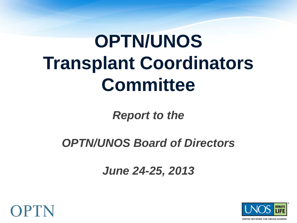# **OPTN/UNOS Transplant Coordinators Committee**

*Report to the* 

*OPTN/UNOS Board of Directors*

*June 24-25, 2013*



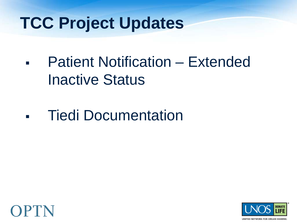### **TCC Project Updates**

- Patient Notification Extended Inactive Status
- **Tiedi Documentation**



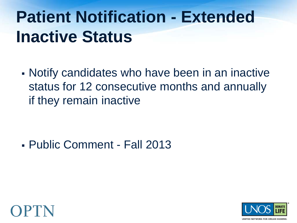### **Patient Notification - Extended Inactive Status**

 Notify candidates who have been in an inactive status for 12 consecutive months and annually if they remain inactive

Public Comment - Fall 2013



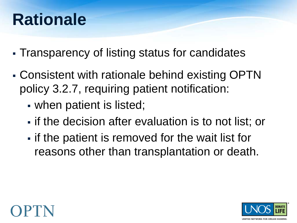### **Rationale**

- Transparency of listing status for candidates
- Consistent with rationale behind existing OPTN policy 3.2.7, requiring patient notification:
	- when patient is listed;
	- **Fig. 1** if the decision after evaluation is to not list; or
	- **Fig.** if the patient is removed for the wait list for reasons other than transplantation or death.



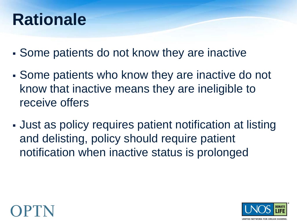### **Rationale**

- Some patients do not know they are inactive
- Some patients who know they are inactive do not know that inactive means they are ineligible to receive offers
- Just as policy requires patient notification at listing and delisting, policy should require patient notification when inactive status is prolonged



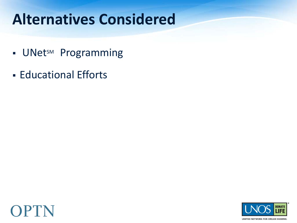#### **Alternatives Considered**

- **UNetsM Programming**
- **Educational Efforts**



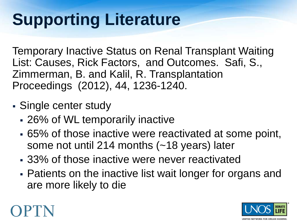## **Supporting Literature**

Temporary Inactive Status on Renal Transplant Waiting List: Causes, Rick Factors, and Outcomes. Safi, S., Zimmerman, B. and Kalil, R. Transplantation Proceedings (2012), 44, 1236-1240.

- Single center study
	- 26% of WL temporarily inactive
	- 65% of those inactive were reactivated at some point, some not until 214 months (~18 years) later
	- 33% of those inactive were never reactivated
	- Patients on the inactive list wait longer for organs and are more likely to die



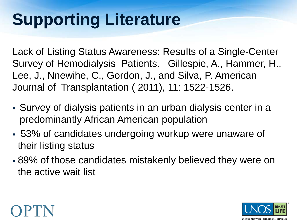## **Supporting Literature**

Lack of Listing Status Awareness: Results of a Single-Center Survey of Hemodialysis Patients. Gillespie, A., Hammer, H., Lee, J., Nnewihe, C., Gordon, J., and Silva, P. American Journal of Transplantation ( 2011), 11: 1522-1526.

- Survey of dialysis patients in an urban dialysis center in a predominantly African American population
- 53% of candidates undergoing workup were unaware of their listing status
- 89% of those candidates mistakenly believed they were on the active wait list

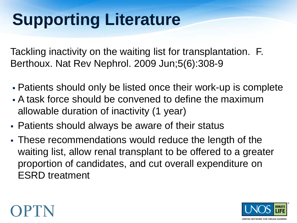## **Supporting Literature**

Tackling inactivity on the waiting list for transplantation. F. Berthoux. Nat Rev Nephrol. 2009 Jun;5(6):308-9

- Patients should only be listed once their work-up is complete
- A task force should be convened to define the maximum allowable duration of inactivity (1 year)
- Patients should always be aware of their status
- These recommendations would reduce the length of the waiting list, allow renal transplant to be offered to a greater proportion of candidates, and cut overall expenditure on ESRD treatment



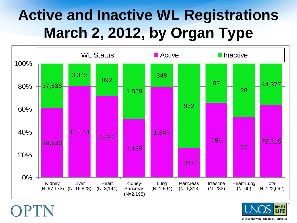#### **Active and Inactive WL Registrations March 2, 2012, by Organ Type**



OPTN

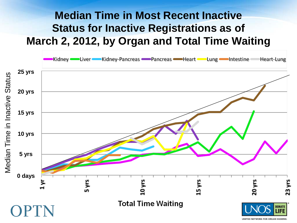#### **Median Time in Most Recent Inactive Status for Inactive Registrations as of March 2, 2012, by Organ and Total Time Waiting**



**UNITED NETWORK FOR ORGAN SHARING**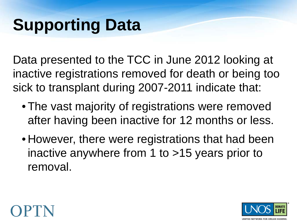### **Supporting Data**

Data presented to the TCC in June 2012 looking at inactive registrations removed for death or being too sick to transplant during 2007-2011 indicate that:

- The vast majority of registrations were removed after having been inactive for 12 months or less.
- However, there were registrations that had been inactive anywhere from 1 to >15 years prior to removal.



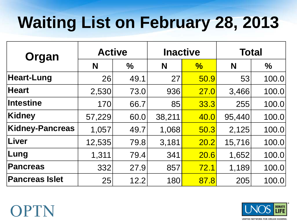## **Waiting List on February 28, 2013**

| Organ                 | <b>Active</b> |               | <b>Inactive</b> |               | <b>Total</b> |               |
|-----------------------|---------------|---------------|-----------------|---------------|--------------|---------------|
|                       | N             | $\frac{0}{0}$ | N               | $\frac{1}{2}$ | N            | $\frac{0}{0}$ |
| <b>Heart-Lung</b>     | 26            | 49.1          | 27              | 50.9          | 53           | 100.0         |
| <b>Heart</b>          | 2,530         | 73.0          | 936             | 27.0          | 3,466        | 100.0         |
| <b>Intestine</b>      | 170           | 66.7          | 85              | 33.3          | 255          | 100.0         |
| Kidney                | 57,229        | 60.0          | 38,211          | 40.0          | 95,440       | 100.0         |
| Kidney-Pancreas       | 1,057         | 49.7          | 1,068           | 50.3          | 2,125        | 100.0         |
| <b>Liver</b>          | 12,535        | 79.8          | 3,181           | 20.2          | 15,716       | 100.0         |
| Lung                  | 1,311         | 79.4          | 341             | 20.6          | 1,652        | 100.0         |
| <b>Pancreas</b>       | 332           | 27.9          | 857             | 72.1          | 1,189        | 100.0         |
| <b>Pancreas Islet</b> | 25            | 12.2          | 180             | 87.8          | 205          | 100.0         |



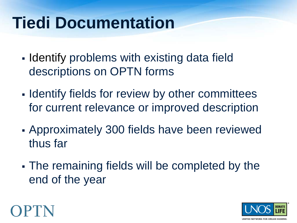### **Tiedi Documentation**

- **I** Identify problems with existing data field descriptions on OPTN forms
- **Identify fields for review by other committees** for current relevance or improved description
- Approximately 300 fields have been reviewed thus far
- The remaining fields will be completed by the end of the year



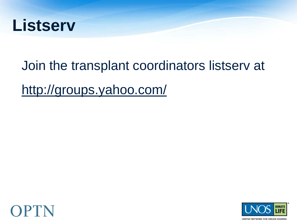

# Join the transplant coordinators listserv at http://groups.yahoo.com/